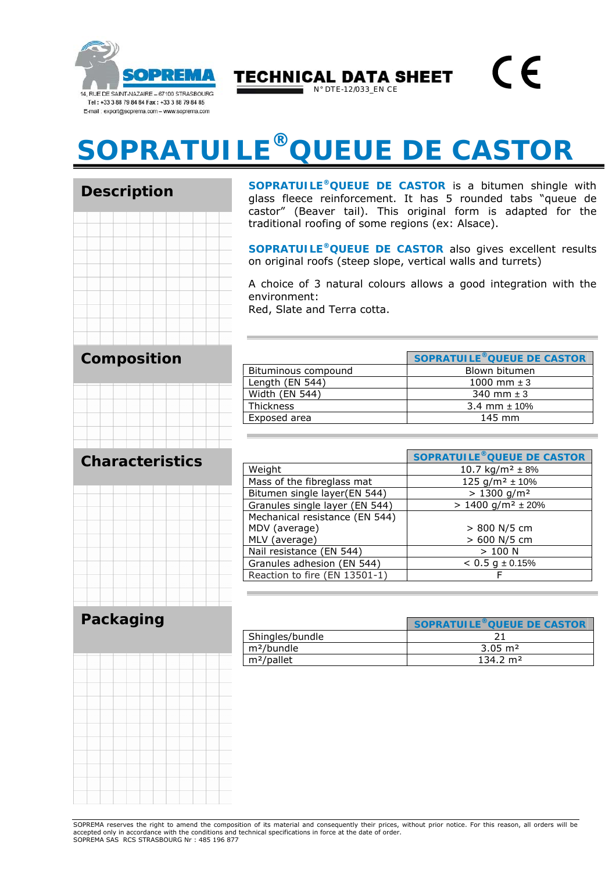

 $\epsilon$ **TECHNICAL DATA SHEET** N° DTE-12/033\_EN CE

## **SOPRATUILE®QUEUE DE CASTOR**

**Description** 

**SOPRATUILE®QUEUE DE CASTOR** is a bitumen shingle with glass fleece reinforcement. It has 5 rounded tabs "queue de castor" (Beaver tail). This original form is adapted for the traditional roofing of some regions (ex: Alsace).

**SOPRATUILE®QUEUE DE CASTOR** also gives excellent results on original roofs (steep slope, vertical walls and turrets)

A choice of 3 natural colours allows a good integration with the environment:

Red, Slate and Terra cotta.

|                     | SOPRATUILE <sup>®</sup> QUEUE DE CASTOR |
|---------------------|-----------------------------------------|
| Bituminous compound | Blown bitumen                           |
| Length (EN 544)     | 1000 mm $\pm$ 3                         |
| Width (EN 544)      | 340 mm $\pm$ 3                          |
| <b>Thickness</b>    | 3.4 mm $\pm$ 10%                        |
| Exposed area        | $145$ mm                                |

## **Characteristics**

**Composition**



|                                | <b>SOPRATUILE® QUEUE DE CASTOR</b>   |
|--------------------------------|--------------------------------------|
| Weight                         | 10.7 kg/m <sup>2</sup> $\pm$ 8%      |
| Mass of the fibreglass mat     | 125 g/m <sup>2</sup> $\pm$ 10%       |
| Bitumen single layer(EN 544)   | $> 1300$ g/m <sup>2</sup>            |
| Granules single layer (EN 544) | $> 1400$ g/m <sup>2</sup> $\pm 20\%$ |
| Mechanical resistance (EN 544) |                                      |
| MDV (average)                  | > 800 N/5 cm                         |
| MLV (average)                  | > 600 N/5 cm                         |
| Nail resistance (EN 544)       | >100 N                               |
| Granules adhesion (EN 544)     | $< 0.5$ g $\pm 0.15\%$               |
| Reaction to fire (EN 13501-1)  |                                      |

## **Packaging**

|                        | SOPRATUILE <sup>®</sup> OUEUE DE CASTOR |
|------------------------|-----------------------------------------|
| Shingles/bundle        |                                         |
| m <sup>2</sup> /bundle | $3.05 \; \mathrm{m}^2$                  |
| m <sup>2</sup> /pallet | $134.2 \text{ m}^2$                     |

SOPREMA reserves the right to amend the composition of its material and consequently their prices, without prior notice. For this reason, all orders will be accepted only in accordance with the conditions and technical specifications in force at the date of order. SOPREMA SAS RCS STRASBOURG Nr : 485 196 877